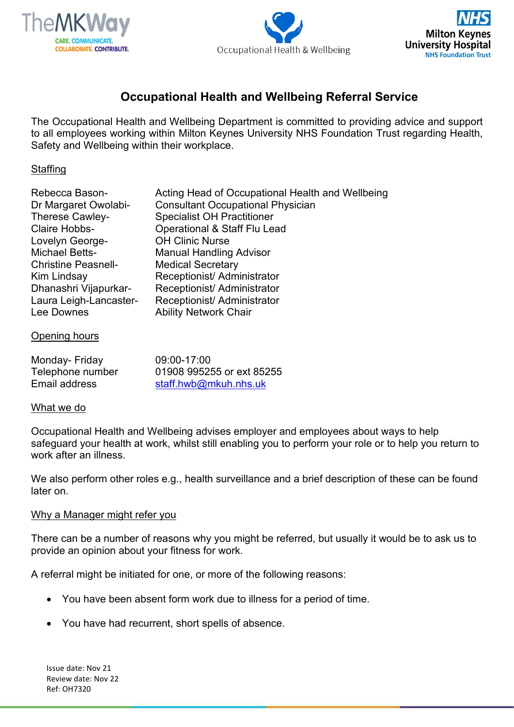





# **Occupational Health and Wellbeing Referral Service**

The Occupational Health and Wellbeing Department is committed to providing advice and support to all employees working within Milton Keynes University NHS Foundation Trust regarding Health, Safety and Wellbeing within their workplace.

# **Staffing**

| Rebecca Bason-             | Acting Head of Occupational Health and Wellbeing |
|----------------------------|--------------------------------------------------|
| Dr Margaret Owolabi-       | <b>Consultant Occupational Physician</b>         |
| Therese Cawley-            | <b>Specialist OH Practitioner</b>                |
| <b>Claire Hobbs-</b>       | <b>Operational &amp; Staff Flu Lead</b>          |
| Lovelyn George-            | <b>OH Clinic Nurse</b>                           |
| <b>Michael Betts-</b>      | <b>Manual Handling Advisor</b>                   |
| <b>Christine Peasnell-</b> | <b>Medical Secretary</b>                         |
| Kim Lindsay                | Receptionist/ Administrator                      |
| Dhanashri Vijapurkar-      | Receptionist/ Administrator                      |
| Laura Leigh-Lancaster-     | Receptionist/ Administrator                      |
| Lee Downes                 | <b>Ability Network Chair</b>                     |
|                            |                                                  |

#### Opening hours

| Monday- Friday   | 09:00-17:00               |
|------------------|---------------------------|
| Telephone number | 01908 995255 or ext 85255 |
| Email address    | staff.hwb@mkuh.nhs.uk     |

#### What we do

Occupational Health and Wellbeing advises employer and employees about ways to help safeguard your health at work, whilst still enabling you to perform your role or to help you return to work after an illness.

We also perform other roles e.g., health surveillance and a brief description of these can be found later on.

#### Why a Manager might refer you

There can be a number of reasons why you might be referred, but usually it would be to ask us to provide an opinion about your fitness for work.

A referral might be initiated for one, or more of the following reasons:

- You have been absent form work due to illness for a period of time.
- You have had recurrent, short spells of absence.

Issue date: Nov 21 Review date: Nov 22 Ref: OH7320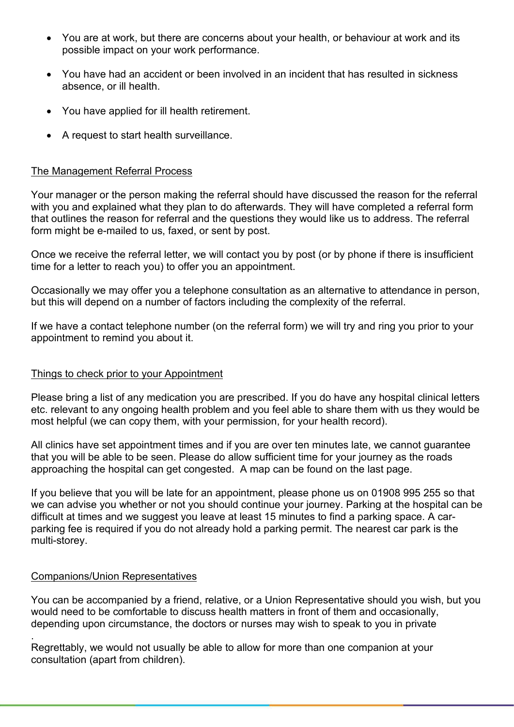- You are at work, but there are concerns about your health, or behaviour at work and its possible impact on your work performance.
- You have had an accident or been involved in an incident that has resulted in sickness absence, or ill health.
- You have applied for ill health retirement.
- A request to start health surveillance.

# The Management Referral Process

Your manager or the person making the referral should have discussed the reason for the referral with you and explained what they plan to do afterwards. They will have completed a referral form that outlines the reason for referral and the questions they would like us to address. The referral form might be e-mailed to us, faxed, or sent by post.

Once we receive the referral letter, we will contact you by post (or by phone if there is insufficient time for a letter to reach you) to offer you an appointment.

Occasionally we may offer you a telephone consultation as an alternative to attendance in person, but this will depend on a number of factors including the complexity of the referral.

If we have a contact telephone number (on the referral form) we will try and ring you prior to your appointment to remind you about it.

## Things to check prior to your Appointment

Please bring a list of any medication you are prescribed. If you do have any hospital clinical letters etc. relevant to any ongoing health problem and you feel able to share them with us they would be most helpful (we can copy them, with your permission, for your health record).

All clinics have set appointment times and if you are over ten minutes late, we cannot guarantee that you will be able to be seen. Please do allow sufficient time for your journey as the roads approaching the hospital can get congested. A map can be found on the last page.

If you believe that you will be late for an appointment, please phone us on 01908 995 255 so that we can advise you whether or not you should continue your journey. Parking at the hospital can be difficult at times and we suggest you leave at least 15 minutes to find a parking space. A carparking fee is required if you do not already hold a parking permit. The nearest car park is the multi-storey.

## Companions/Union Representatives

You can be accompanied by a friend, relative, or a Union Representative should you wish, but you would need to be comfortable to discuss health matters in front of them and occasionally, depending upon circumstance, the doctors or nurses may wish to speak to you in private

. Regrettably, we would not usually be able to allow for more than one companion at your consultation (apart from children).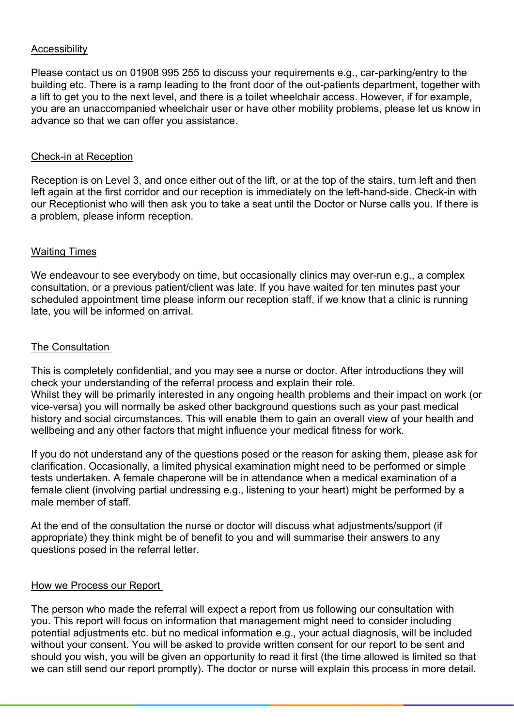# Accessibility

Please contact us on 01908 995 255 to discuss your requirements e.g., car-parking/entry to the building etc. There is a ramp leading to the front door of the out-patients department, together with a lift to get you to the next level, and there is a toilet wheelchair access. However, if for example, you are an unaccompanied wheelchair user or have other mobility problems, please let us know in advance so that we can offer you assistance.

## Check-in at Reception

Reception is on Level 3, and once either out of the lift, or at the top of the stairs, turn left and then left again at the first corridor and our reception is immediately on the left-hand-side. Check-in with our Receptionist who will then ask you to take a seat until the Doctor or Nurse calls you. If there is a problem, please inform reception.

# Waiting Times

We endeavour to see everybody on time, but occasionally clinics may over-run e.g., a complex consultation, or a previous patient/client was late. If you have waited for ten minutes past your scheduled appointment time please inform our reception staff, if we know that a clinic is running late, you will be informed on arrival.

# The Consultation

This is completely confidential, and you may see a nurse or doctor. After introductions they will check your understanding of the referral process and explain their role. Whilst they will be primarily interested in any ongoing health problems and their impact on work (or vice-versa) you will normally be asked other background questions such as your past medical history and social circumstances. This will enable them to gain an overall view of your health and wellbeing and any other factors that might influence your medical fitness for work.

If you do not understand any of the questions posed or the reason for asking them, please ask for clarification. Occasionally, a limited physical examination might need to be performed or simple tests undertaken. A female chaperone will be in attendance when a medical examination of a female client (involving partial undressing e.g., listening to your heart) might be performed by a male member of staff.

At the end of the consultation the nurse or doctor will discuss what adjustments/support (if appropriate) they think might be of benefit to you and will summarise their answers to any questions posed in the referral letter.

## How we Process our Report

The person who made the referral will expect a report from us following our consultation with you. This report will focus on information that management might need to consider including potential adjustments etc. but no medical information e.g., your actual diagnosis, will be included without your consent. You will be asked to provide written consent for our report to be sent and should you wish, you will be given an opportunity to read it first (the time allowed is limited so that we can still send our report promptly). The doctor or nurse will explain this process in more detail.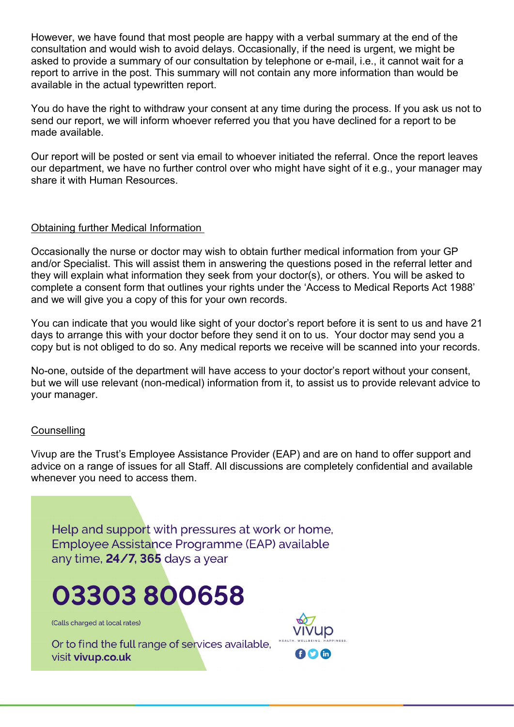However, we have found that most people are happy with a verbal summary at the end of the consultation and would wish to avoid delays. Occasionally, if the need is urgent, we might be asked to provide a summary of our consultation by telephone or e-mail, i.e., it cannot wait for a report to arrive in the post. This summary will not contain any more information than would be available in the actual typewritten report.

You do have the right to withdraw your consent at any time during the process. If you ask us not to send our report, we will inform whoever referred you that you have declined for a report to be made available.

Our report will be posted or sent via email to whoever initiated the referral. Once the report leaves our department, we have no further control over who might have sight of it e.g., your manager may share it with Human Resources.

## Obtaining further Medical Information

Occasionally the nurse or doctor may wish to obtain further medical information from your GP and/or Specialist. This will assist them in answering the questions posed in the referral letter and they will explain what information they seek from your doctor(s), or others. You will be asked to complete a consent form that outlines your rights under the 'Access to Medical Reports Act 1988' and we will give you a copy of this for your own records.

You can indicate that you would like sight of your doctor's report before it is sent to us and have 21 days to arrange this with your doctor before they send it on to us. Your doctor may send you a copy but is not obliged to do so. Any medical reports we receive will be scanned into your records.

No-one, outside of the department will have access to your doctor's report without your consent, but we will use relevant (non-medical) information from it, to assist us to provide relevant advice to your manager.

## **Counselling**

Vivup are the Trust's Employee Assistance Provider (EAP) and are on hand to offer support and advice on a range of issues for all Staff. All discussions are completely confidential and available whenever you need to access them.

Help and support with pressures at work or home. Employee Assistance Programme (EAP) available any time, 24/7, 365 days a year

# 03303 800658

(Calls charged at local rates)

Or to find the full range of services available, visit vivup.co.uk